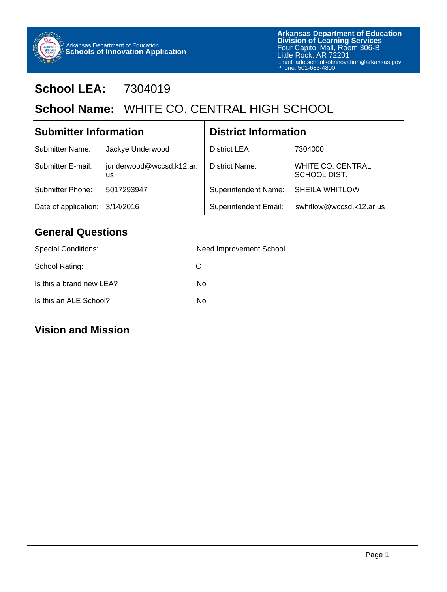

# **School LEA:** 7304019

# School Name: WHITE CO. CENTRAL HIGH SCHOOL

| <b>Submitter Information</b>   |                                       | <b>District Information</b> |                                          |
|--------------------------------|---------------------------------------|-----------------------------|------------------------------------------|
| <b>Submitter Name:</b>         | Jackye Underwood                      | District LEA:               | 7304000                                  |
| Submitter E-mail:              | junderwood@wccsd.k12.ar.<br><b>us</b> | District Name:              | <b>WHITE CO. CENTRAL</b><br>SCHOOL DIST. |
| <b>Submitter Phone:</b>        | 5017293947                            | <b>Superintendent Name:</b> | <b>SHEILA WHITLOW</b>                    |
| Date of application: 3/14/2016 |                                       | Superintendent Email:       | swhitlow@wccsd.k12.ar.us                 |
|                                |                                       |                             |                                          |

## **General Questions**

| <b>Special Conditions:</b> | Need Improvement School |
|----------------------------|-------------------------|
| School Rating:             | C.                      |
| Is this a brand new LEA?   | No                      |
| Is this an ALE School?     | No                      |
|                            |                         |

## **Vision and Mission**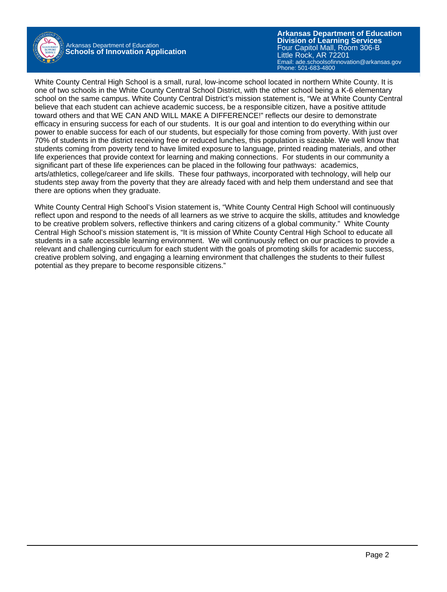

Arkansas Department of Education **Schools of Innovation Application**

**Arkansas Department of Education** Email: ade.schoolsofinnovation@arkansas.gov **Division of Learning Services** Four Capitol Mall, Room 306-B Little Rock, AR 72201 Phone: 501-683-4800

White County Central High School is a small, rural, low-income school located in northern White County. It is one of two schools in the White County Central School District, with the other school being a K-6 elementary school on the same campus. White County Central District's mission statement is, "We at White County Central believe that each student can achieve academic success, be a responsible citizen, have a positive attitude toward others and that WE CAN AND WILL MAKE A DIFFERENCE!" reflects our desire to demonstrate efficacy in ensuring success for each of our students. It is our goal and intention to do everything within our power to enable success for each of our students, but especially for those coming from poverty. With just over 70% of students in the district receiving free or reduced lunches, this population is sizeable. We well know that students coming from poverty tend to have limited exposure to language, printed reading materials, and other life experiences that provide context for learning and making connections. For students in our community a significant part of these life experiences can be placed in the following four pathways: academics, arts/athletics, college/career and life skills. These four pathways, incorporated with technology, will help our students step away from the poverty that they are already faced with and help them understand and see that there are options when they graduate.

White County Central High School's Vision statement is, "White County Central High School will continuously reflect upon and respond to the needs of all learners as we strive to acquire the skills, attitudes and knowledge to be creative problem solvers, reflective thinkers and caring citizens of a global community." White County Central High School's mission statement is, "It is mission of White County Central High School to educate all students in a safe accessible learning environment. We will continuously reflect on our practices to provide a relevant and challenging curriculum for each student with the goals of promoting skills for academic success, creative problem solving, and engaging a learning environment that challenges the students to their fullest potential as they prepare to become responsible citizens."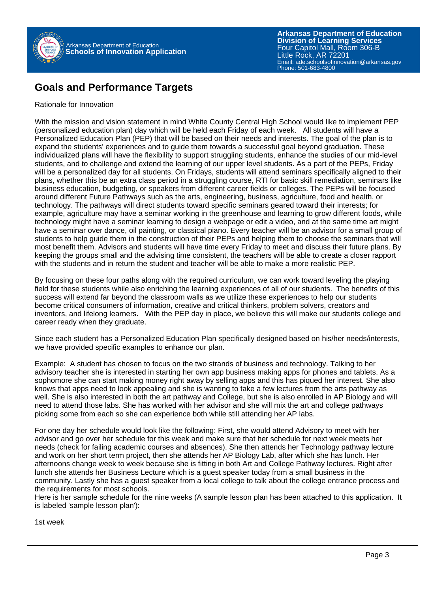

### **Goals and Performance Targets**

#### Rationale for Innovation

With the mission and vision statement in mind White County Central High School would like to implement PEP (personalized education plan) day which will be held each Friday of each week. All students will have a Personalized Education Plan (PEP) that will be based on their needs and interests. The goal of the plan is to expand the students' experiences and to guide them towards a successful goal beyond graduation. These individualized plans will have the flexibility to support struggling students, enhance the studies of our mid-level students, and to challenge and extend the learning of our upper level students. As a part of the PEPs, Friday will be a personalized day for all students. On Fridays, students will attend seminars specifically aligned to their plans, whether this be an extra class period in a struggling course, RTI for basic skill remediation, seminars like business education, budgeting, or speakers from different career fields or colleges. The PEPs will be focused around different Future Pathways such as the arts, engineering, business, agriculture, food and health, or technology. The pathways will direct students toward specific seminars geared toward their interests; for example, agriculture may have a seminar working in the greenhouse and learning to grow different foods, while technology might have a seminar learning to design a webpage or edit a video, and at the same time art might have a seminar over dance, oil painting, or classical piano. Every teacher will be an advisor for a small group of students to help guide them in the construction of their PEPs and helping them to choose the seminars that will most benefit them. Advisors and students will have time every Friday to meet and discuss their future plans. By keeping the groups small and the advising time consistent, the teachers will be able to create a closer rapport with the students and in return the student and teacher will be able to make a more realistic PEP.

By focusing on these four paths along with the required curriculum, we can work toward leveling the playing field for these students while also enriching the learning experiences of all of our students. The benefits of this success will extend far beyond the classroom walls as we utilize these experiences to help our students become critical consumers of information, creative and critical thinkers, problem solvers, creators and inventors, and lifelong learners. With the PEP day in place, we believe this will make our students college and career ready when they graduate.

Since each student has a Personalized Education Plan specifically designed based on his/her needs/interests, we have provided specific examples to enhance our plan.

Example: A student has chosen to focus on the two strands of business and technology. Talking to her advisory teacher she is interested in starting her own app business making apps for phones and tablets. As a sophomore she can start making money right away by selling apps and this has piqued her interest. She also knows that apps need to look appealing and she is wanting to take a few lectures from the arts pathway as well. She is also interested in both the art pathway and College, but she is also enrolled in AP Biology and will need to attend those labs. She has worked with her advisor and she will mix the art and college pathways picking some from each so she can experience both while still attending her AP labs.

For one day her schedule would look like the following: First, she would attend Advisory to meet with her advisor and go over her schedule for this week and make sure that her schedule for next week meets her needs (check for failing academic courses and absences). She then attends her Technology pathway lecture and work on her short term project, then she attends her AP Biology Lab, after which she has lunch. Her afternoons change week to week because she is fitting in both Art and College Pathway lectures. Right after lunch she attends her Business Lecture which is a guest speaker today from a small business in the community. Lastly she has a guest speaker from a local college to talk about the college entrance process and the requirements for most schools.

Here is her sample schedule for the nine weeks (A sample lesson plan has been attached to this application. It is labeled 'sample lesson plan'):

1st week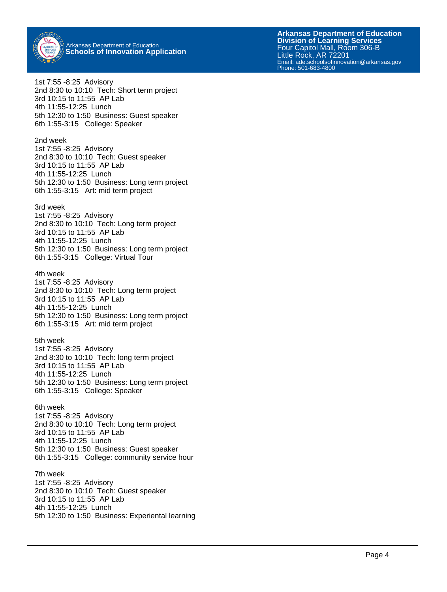

**Arkansas Department of Education** Email: ade.schoolsofinnovation@arkansas.gov Phone: 501-683-4800**Division of Learning Services** Four Capitol Mall, Room 306-B Little Rock, AR 72201

1st 7:55 -8:25 Advisory 2nd 8:30 to 10:10 Tech: Short term project 3rd 10:15 to 11:55 AP Lab 4th 11:55-12:25 Lunch 5th 12:30 to 1:50 Business: Guest speaker 6th 1:55-3:15 College: Speaker

2nd week 1st 7:55 -8:25 Advisory 2nd 8:30 to 10:10 Tech: Guest speaker 3rd 10:15 to 11:55 AP Lab 4th 11:55-12:25 Lunch 5th 12:30 to 1:50 Business: Long term project 6th 1:55-3:15 Art: mid term project

#### 3rd week

1st 7:55 -8:25 Advisory 2nd 8:30 to 10:10 Tech: Long term project 3rd 10:15 to 11:55 AP Lab 4th 11:55-12:25 Lunch 5th 12:30 to 1:50 Business: Long term project 6th 1:55-3:15 College: Virtual Tour

4th week

1st 7:55 -8:25 Advisory 2nd 8:30 to 10:10 Tech: Long term project 3rd 10:15 to 11:55 AP Lab 4th 11:55-12:25 Lunch 5th 12:30 to 1:50 Business: Long term project 6th 1:55-3:15 Art: mid term project

#### 5th week

1st 7:55 -8:25 Advisory 2nd 8:30 to 10:10 Tech: long term project 3rd 10:15 to 11:55 AP Lab 4th 11:55-12:25 Lunch 5th 12:30 to 1:50 Business: Long term project 6th 1:55-3:15 College: Speaker

#### 6th week

1st 7:55 -8:25 Advisory 2nd 8:30 to 10:10 Tech: Long term project 3rd 10:15 to 11:55 AP Lab 4th 11:55-12:25 Lunch 5th 12:30 to 1:50 Business: Guest speaker 6th 1:55-3:15 College: community service hour

7th week 1st 7:55 -8:25 Advisory 2nd 8:30 to 10:10 Tech: Guest speaker 3rd 10:15 to 11:55 AP Lab 4th 11:55-12:25 Lunch 5th 12:30 to 1:50 Business: Experiental learning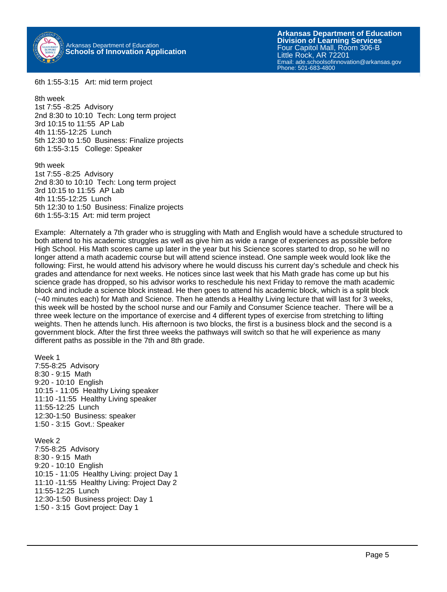

6th 1:55-3:15 Art: mid term project

8th week 1st 7:55 -8:25 Advisory 2nd 8:30 to 10:10 Tech: Long term project 3rd 10:15 to 11:55 AP Lab 4th 11:55-12:25 Lunch 5th 12:30 to 1:50 Business: Finalize projects 6th 1:55-3:15 College: Speaker

9th week 1st 7:55 -8:25 Advisory 2nd 8:30 to 10:10 Tech: Long term project 3rd 10:15 to 11:55 AP Lab 4th 11:55-12:25 Lunch 5th 12:30 to 1:50 Business: Finalize projects 6th 1:55-3:15 Art: mid term project

Example: Alternately a 7th grader who is struggling with Math and English would have a schedule structured to both attend to his academic struggles as well as give him as wide a range of experiences as possible before High School. His Math scores came up later in the year but his Science scores started to drop, so he will no longer attend a math academic course but will attend science instead. One sample week would look like the following: First, he would attend his advisory where he would discuss his current day's schedule and check his grades and attendance for next weeks. He notices since last week that his Math grade has come up but his science grade has dropped, so his advisor works to reschedule his next Friday to remove the math academic block and include a science block instead. He then goes to attend his academic block, which is a split block (~40 minutes each) for Math and Science. Then he attends a Healthy Living lecture that will last for 3 weeks, this week will be hosted by the school nurse and our Family and Consumer Science teacher. There will be a three week lecture on the importance of exercise and 4 different types of exercise from stretching to lifting weights. Then he attends lunch. His afternoon is two blocks, the first is a business block and the second is a government block. After the first three weeks the pathways will switch so that he will experience as many different paths as possible in the 7th and 8th grade.

Week 1 7:55-8:25 Advisory 8:30 - 9:15 Math 9:20 - 10:10 English 10:15 - 11:05 Healthy Living speaker 11:10 -11:55 Healthy Living speaker 11:55-12:25 Lunch 12:30-1:50 Business: speaker 1:50 - 3:15 Govt.: Speaker

Week 2 7:55-8:25 Advisory 8:30 - 9:15 Math 9:20 - 10:10 English 10:15 - 11:05 Healthy Living: project Day 1 11:10 -11:55 Healthy Living: Project Day 2 11:55-12:25 Lunch 12:30-1:50 Business project: Day 1 1:50 - 3:15 Govt project: Day 1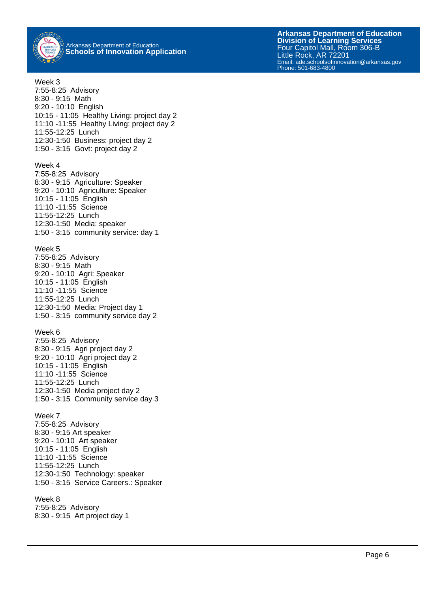

**Arkansas Department of Education** Email: ade.schoolsofinnovation@arkansas.gov Phone: 501-683-4800**Division of Learning Services** Four Capitol Mall, Room 306-B Little Rock, AR 72201

Week 3 7:55-8:25 Advisory 8:30 - 9:15 Math 9:20 - 10:10 English 10:15 - 11:05 Healthy Living: project day 2 11:10 -11:55 Healthy Living: project day 2 11:55-12:25 Lunch 12:30-1:50 Business: project day 2 1:50 - 3:15 Govt: project day 2 Week 4 7:55-8:25 Advisory 8:30 - 9:15 Agriculture: Speaker 9:20 - 10:10 Agriculture: Speaker 10:15 - 11:05 English 11:10 -11:55 Science 11:55-12:25 Lunch 12:30-1:50 Media: speaker 1:50 - 3:15 community service: day 1 Week 5 7:55-8:25 Advisory 8:30 - 9:15 Math 9:20 - 10:10 Agri: Speaker 10:15 - 11:05 English 11:10 -11:55 Science 11:55-12:25 Lunch 12:30-1:50 Media: Project day 1 1:50 - 3:15 community service day 2 Week 6 7:55-8:25 Advisory 8:30 - 9:15 Agri project day 2 9:20 - 10:10 Agri project day 2 10:15 - 11:05 English 11:10 -11:55 Science 11:55-12:25 Lunch 12:30-1:50 Media project day 2 1:50 - 3:15 Community service day 3 Week 7 7:55-8:25 Advisory 8:30 - 9:15 Art speaker 9:20 - 10:10 Art speaker 10:15 - 11:05 English 11:10 -11:55 Science 11:55-12:25 Lunch 12:30-1:50 Technology: speaker 1:50 - 3:15 Service Careers.: Speaker Week 8 7:55-8:25 Advisory 8:30 - 9:15 Art project day 1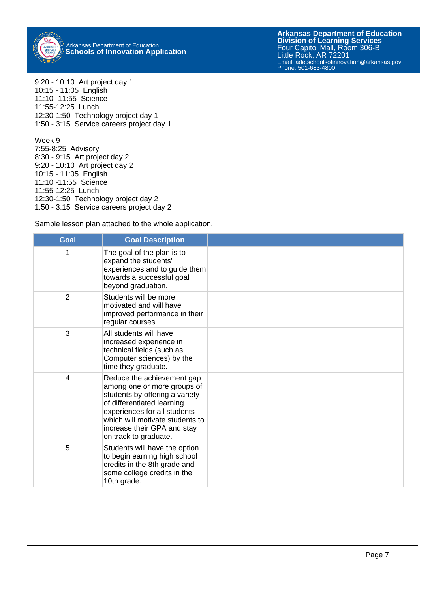

9:20 - 10:10 Art project day 1 10:15 - 11:05 English 11:10 -11:55 Science 11:55-12:25 Lunch 12:30-1:50 Technology project day 1 1:50 - 3:15 Service careers project day 1

Week 9 7:55-8:25 Advisory 8:30 - 9:15 Art project day 2 9:20 - 10:10 Art project day 2 10:15 - 11:05 English 11:10 -11:55 Science 11:55-12:25 Lunch 12:30-1:50 Technology project day 2 1:50 - 3:15 Service careers project day 2

Sample lesson plan attached to the whole application.

| <b>Goal</b>             | <b>Goal Description</b>                                                                                                                                                                                                                              |  |
|-------------------------|------------------------------------------------------------------------------------------------------------------------------------------------------------------------------------------------------------------------------------------------------|--|
| 1                       | The goal of the plan is to<br>expand the students'<br>experiences and to guide them<br>towards a successful goal<br>beyond graduation.                                                                                                               |  |
| 2                       | Students will be more<br>motivated and will have<br>improved performance in their<br>regular courses                                                                                                                                                 |  |
| 3                       | All students will have<br>increased experience in<br>technical fields (such as<br>Computer sciences) by the<br>time they graduate.                                                                                                                   |  |
| $\overline{\mathbf{4}}$ | Reduce the achievement gap<br>among one or more groups of<br>students by offering a variety<br>of differentiated learning<br>experiences for all students<br>which will motivate students to<br>increase their GPA and stay<br>on track to graduate. |  |
| 5                       | Students will have the option<br>to begin earning high school<br>credits in the 8th grade and<br>some college credits in the<br>10th grade.                                                                                                          |  |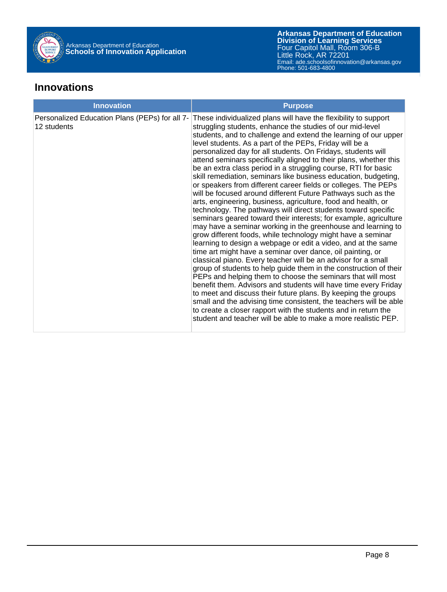

#### **Innovations**

| <b>Innovation</b>                                             | <b>Purpose</b>                                                                                                                                                                                                                                                                                                                                                                                                                                                                                                                                                                                                                                                                                                                                                                                                                                                                                                                                                                                                                                                                                                                                                                                                                                                                                                                                                                                                                                                                                                                                                                                                                                                                               |
|---------------------------------------------------------------|----------------------------------------------------------------------------------------------------------------------------------------------------------------------------------------------------------------------------------------------------------------------------------------------------------------------------------------------------------------------------------------------------------------------------------------------------------------------------------------------------------------------------------------------------------------------------------------------------------------------------------------------------------------------------------------------------------------------------------------------------------------------------------------------------------------------------------------------------------------------------------------------------------------------------------------------------------------------------------------------------------------------------------------------------------------------------------------------------------------------------------------------------------------------------------------------------------------------------------------------------------------------------------------------------------------------------------------------------------------------------------------------------------------------------------------------------------------------------------------------------------------------------------------------------------------------------------------------------------------------------------------------------------------------------------------------|
| Personalized Education Plans (PEPs) for all 7-<br>12 students | These individualized plans will have the flexibility to support<br>struggling students, enhance the studies of our mid-level<br>students, and to challenge and extend the learning of our upper<br>level students. As a part of the PEPs, Friday will be a<br>personalized day for all students. On Fridays, students will<br>attend seminars specifically aligned to their plans, whether this<br>be an extra class period in a struggling course, RTI for basic<br>skill remediation, seminars like business education, budgeting,<br>or speakers from different career fields or colleges. The PEPs<br>will be focused around different Future Pathways such as the<br>arts, engineering, business, agriculture, food and health, or<br>technology. The pathways will direct students toward specific<br>seminars geared toward their interests; for example, agriculture<br>may have a seminar working in the greenhouse and learning to<br>grow different foods, while technology might have a seminar<br>learning to design a webpage or edit a video, and at the same<br>time art might have a seminar over dance, oil painting, or<br>classical piano. Every teacher will be an advisor for a small<br>group of students to help guide them in the construction of their<br>PEPs and helping them to choose the seminars that will most<br>benefit them. Advisors and students will have time every Friday<br>to meet and discuss their future plans. By keeping the groups<br>small and the advising time consistent, the teachers will be able<br>to create a closer rapport with the students and in return the<br>student and teacher will be able to make a more realistic PEP. |
|                                                               |                                                                                                                                                                                                                                                                                                                                                                                                                                                                                                                                                                                                                                                                                                                                                                                                                                                                                                                                                                                                                                                                                                                                                                                                                                                                                                                                                                                                                                                                                                                                                                                                                                                                                              |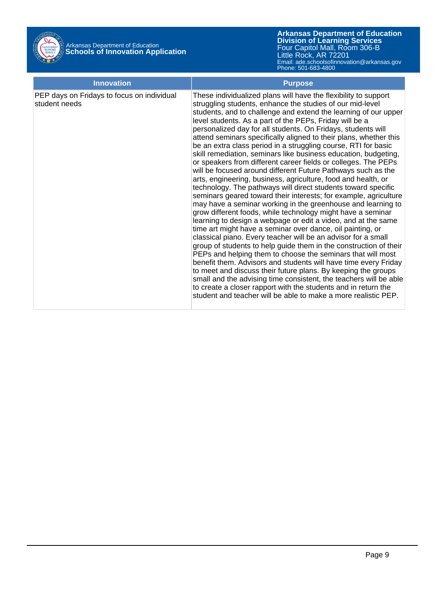

| <b>Innovation</b>                                           | <b>Purpose</b>                                                                                                                                                                                                                                                                                                                                                                                                                                                                                                                                                                                                                                                                                                                                                                                                                                                                                                                                                                                                                                                                                                                                                                                                                                                                                                                                                                                                                                                                                                                                                                                                                                                                               |
|-------------------------------------------------------------|----------------------------------------------------------------------------------------------------------------------------------------------------------------------------------------------------------------------------------------------------------------------------------------------------------------------------------------------------------------------------------------------------------------------------------------------------------------------------------------------------------------------------------------------------------------------------------------------------------------------------------------------------------------------------------------------------------------------------------------------------------------------------------------------------------------------------------------------------------------------------------------------------------------------------------------------------------------------------------------------------------------------------------------------------------------------------------------------------------------------------------------------------------------------------------------------------------------------------------------------------------------------------------------------------------------------------------------------------------------------------------------------------------------------------------------------------------------------------------------------------------------------------------------------------------------------------------------------------------------------------------------------------------------------------------------------|
| PEP days on Fridays to focus on individual<br>student needs | These individualized plans will have the flexibility to support<br>struggling students, enhance the studies of our mid-level<br>students, and to challenge and extend the learning of our upper<br>level students. As a part of the PEPs, Friday will be a<br>personalized day for all students. On Fridays, students will<br>attend seminars specifically aligned to their plans, whether this<br>be an extra class period in a struggling course, RTI for basic<br>skill remediation, seminars like business education, budgeting,<br>or speakers from different career fields or colleges. The PEPs<br>will be focused around different Future Pathways such as the<br>arts, engineering, business, agriculture, food and health, or<br>technology. The pathways will direct students toward specific<br>seminars geared toward their interests; for example, agriculture<br>may have a seminar working in the greenhouse and learning to<br>grow different foods, while technology might have a seminar<br>learning to design a webpage or edit a video, and at the same<br>time art might have a seminar over dance, oil painting, or<br>classical piano. Every teacher will be an advisor for a small<br>group of students to help guide them in the construction of their<br>PEPs and helping them to choose the seminars that will most<br>benefit them. Advisors and students will have time every Friday<br>to meet and discuss their future plans. By keeping the groups<br>small and the advising time consistent, the teachers will be able<br>to create a closer rapport with the students and in return the<br>student and teacher will be able to make a more realistic PEP. |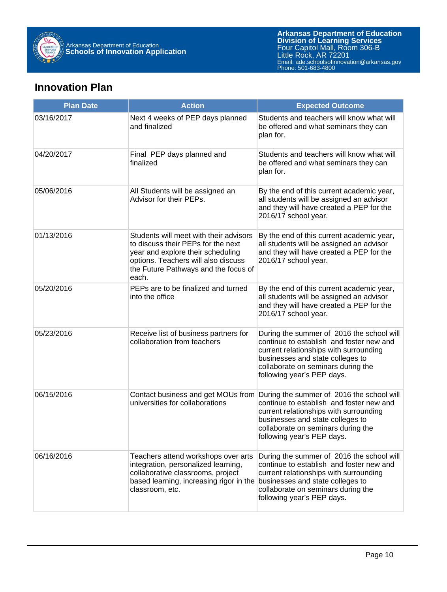

#### **Innovation Plan**

| <b>Plan Date</b> | <b>Action</b>                                                                                                                                                                                             | <b>Expected Outcome</b>                                                                                                                                                                                                                 |
|------------------|-----------------------------------------------------------------------------------------------------------------------------------------------------------------------------------------------------------|-----------------------------------------------------------------------------------------------------------------------------------------------------------------------------------------------------------------------------------------|
| 03/16/2017       | Next 4 weeks of PEP days planned<br>and finalized                                                                                                                                                         | Students and teachers will know what will<br>be offered and what seminars they can<br>plan for.                                                                                                                                         |
| 04/20/2017       | Final PEP days planned and<br>finalized                                                                                                                                                                   | Students and teachers will know what will<br>be offered and what seminars they can<br>plan for.                                                                                                                                         |
| 05/06/2016       | All Students will be assigned an<br>Advisor for their PEPs.                                                                                                                                               | By the end of this current academic year,<br>all students will be assigned an advisor<br>and they will have created a PEP for the<br>2016/17 school year.                                                                               |
| 01/13/2016       | Students will meet with their advisors<br>to discuss their PEPs for the next<br>year and explore their scheduling<br>options. Teachers will also discuss<br>the Future Pathways and the focus of<br>each. | By the end of this current academic year,<br>all students will be assigned an advisor<br>and they will have created a PEP for the<br>2016/17 school year.                                                                               |
| 05/20/2016       | PEPs are to be finalized and turned<br>into the office                                                                                                                                                    | By the end of this current academic year,<br>all students will be assigned an advisor<br>and they will have created a PEP for the<br>2016/17 school year.                                                                               |
| 05/23/2016       | Receive list of business partners for<br>collaboration from teachers                                                                                                                                      | During the summer of 2016 the school will<br>continue to establish and foster new and<br>current relationships with surrounding<br>businesses and state colleges to<br>collaborate on seminars during the<br>following year's PEP days. |
| 06/15/2016       | Contact business and get MOUs from<br>universities for collaborations                                                                                                                                     | During the summer of 2016 the school will<br>continue to establish and foster new and<br>current relationships with surrounding<br>businesses and state colleges to<br>collaborate on seminars during the<br>following year's PEP days. |
| 06/16/2016       | Teachers attend workshops over arts<br>integration, personalized learning,<br>collaborative classrooms, project<br>based learning, increasing rigor in the<br>classroom, etc.                             | During the summer of 2016 the school will<br>continue to establish and foster new and<br>current relationships with surrounding<br>businesses and state colleges to<br>collaborate on seminars during the<br>following year's PEP days. |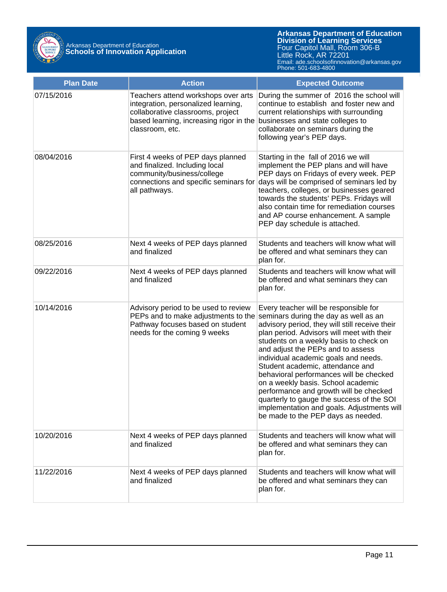

| <b>Plan Date</b> | <b>Action</b>                                                                                                                                                                 | <b>Expected Outcome</b>                                                                                                                                                                                                                                                                                                                                                                                                                                                                                                                                                                               |
|------------------|-------------------------------------------------------------------------------------------------------------------------------------------------------------------------------|-------------------------------------------------------------------------------------------------------------------------------------------------------------------------------------------------------------------------------------------------------------------------------------------------------------------------------------------------------------------------------------------------------------------------------------------------------------------------------------------------------------------------------------------------------------------------------------------------------|
| 07/15/2016       | Teachers attend workshops over arts<br>integration, personalized learning,<br>collaborative classrooms, project<br>based learning, increasing rigor in the<br>classroom, etc. | During the summer of 2016 the school will<br>continue to establish and foster new and<br>current relationships with surrounding<br>businesses and state colleges to<br>collaborate on seminars during the<br>following year's PEP days.                                                                                                                                                                                                                                                                                                                                                               |
| 08/04/2016       | First 4 weeks of PEP days planned<br>and finalized. Including local<br>community/business/college<br>connections and specific seminars for<br>all pathways.                   | Starting in the fall of 2016 we will<br>implement the PEP plans and will have<br>PEP days on Fridays of every week. PEP<br>days will be comprised of seminars led by<br>teachers, colleges, or businesses geared<br>towards the students' PEPs. Fridays will<br>also contain time for remediation courses<br>and AP course enhancement. A sample<br>PEP day schedule is attached.                                                                                                                                                                                                                     |
| 08/25/2016       | Next 4 weeks of PEP days planned<br>and finalized                                                                                                                             | Students and teachers will know what will<br>be offered and what seminars they can<br>plan for.                                                                                                                                                                                                                                                                                                                                                                                                                                                                                                       |
| 09/22/2016       | Next 4 weeks of PEP days planned<br>and finalized                                                                                                                             | Students and teachers will know what will<br>be offered and what seminars they can<br>plan for.                                                                                                                                                                                                                                                                                                                                                                                                                                                                                                       |
| 10/14/2016       | Advisory period to be used to review<br>PEPs and to make adjustments to the<br>Pathway focuses based on student<br>needs for the coming 9 weeks                               | Every teacher will be responsible for<br>seminars during the day as well as an<br>advisory period, they will still receive their<br>plan period. Advisors will meet with their<br>students on a weekly basis to check on<br>and adjust the PEPs and to assess<br>individual academic goals and needs.<br>Student academic, attendance and<br>behavioral performances will be checked<br>on a weekly basis. School academic<br>performance and growth will be checked<br>quarterly to gauge the success of the SOI<br>implementation and goals. Adjustments will<br>be made to the PEP days as needed. |
| 10/20/2016       | Next 4 weeks of PEP days planned<br>and finalized                                                                                                                             | Students and teachers will know what will<br>be offered and what seminars they can<br>plan for.                                                                                                                                                                                                                                                                                                                                                                                                                                                                                                       |
| 11/22/2016       | Next 4 weeks of PEP days planned<br>and finalized                                                                                                                             | Students and teachers will know what will<br>be offered and what seminars they can<br>plan for.                                                                                                                                                                                                                                                                                                                                                                                                                                                                                                       |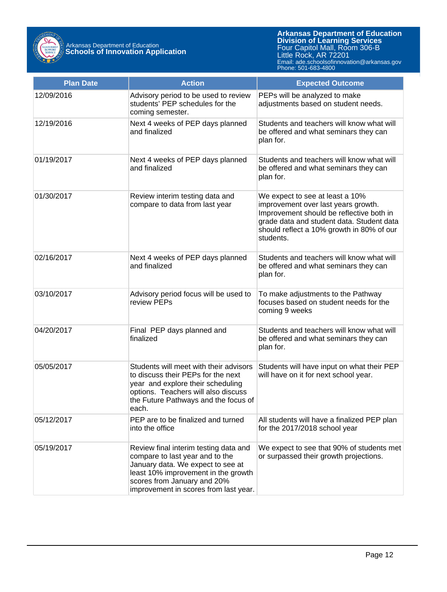

| <b>Plan Date</b> | <b>Action</b>                                                                                                                                                                                                                | <b>Expected Outcome</b>                                                                                                                                                                                                   |
|------------------|------------------------------------------------------------------------------------------------------------------------------------------------------------------------------------------------------------------------------|---------------------------------------------------------------------------------------------------------------------------------------------------------------------------------------------------------------------------|
| 12/09/2016       | Advisory period to be used to review<br>students' PEP schedules for the<br>coming semester.                                                                                                                                  | PEPs will be analyzed to make<br>adjustments based on student needs.                                                                                                                                                      |
| 12/19/2016       | Next 4 weeks of PEP days planned<br>and finalized                                                                                                                                                                            | Students and teachers will know what will<br>be offered and what seminars they can<br>plan for.                                                                                                                           |
| 01/19/2017       | Next 4 weeks of PEP days planned<br>and finalized                                                                                                                                                                            | Students and teachers will know what will<br>be offered and what seminars they can<br>plan for.                                                                                                                           |
| 01/30/2017       | Review interim testing data and<br>compare to data from last year                                                                                                                                                            | We expect to see at least a 10%<br>improvement over last years growth.<br>Improvement should be reflective both in<br>grade data and student data. Student data<br>should reflect a 10% growth in 80% of our<br>students. |
| 02/16/2017       | Next 4 weeks of PEP days planned<br>and finalized                                                                                                                                                                            | Students and teachers will know what will<br>be offered and what seminars they can<br>plan for.                                                                                                                           |
| 03/10/2017       | Advisory period focus will be used to<br>review PEPs                                                                                                                                                                         | To make adjustments to the Pathway<br>focuses based on student needs for the<br>coming 9 weeks                                                                                                                            |
| 04/20/2017       | Final PEP days planned and<br>finalized                                                                                                                                                                                      | Students and teachers will know what will<br>be offered and what seminars they can<br>plan for.                                                                                                                           |
| 05/05/2017       | Students will meet with their advisors<br>to discuss their PEPs for the next<br>year and explore their scheduling<br>options. Teachers will also discuss<br>the Future Pathways and the focus of<br>each.                    | Students will have input on what their PEP<br>will have on it for next school year.                                                                                                                                       |
| 05/12/2017       | PEP are to be finalized and turned<br>into the office                                                                                                                                                                        | All students will have a finalized PEP plan<br>for the 2017/2018 school year                                                                                                                                              |
| 05/19/2017       | Review final interim testing data and<br>compare to last year and to the<br>January data. We expect to see at<br>least 10% improvement in the growth<br>scores from January and 20%<br>improvement in scores from last year. | We expect to see that 90% of students met<br>or surpassed their growth projections.                                                                                                                                       |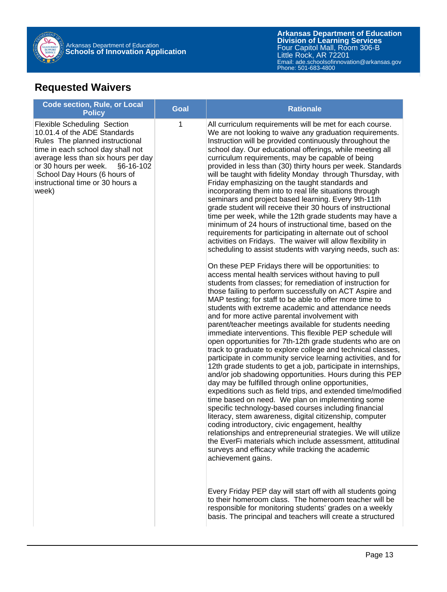

## **Requested Waivers**

| <b>Code section, Rule, or Local</b><br><b>Policy</b>                                                                                                                                                                                                                                                 | <b>Goal</b> | <b>Rationale</b>                                                                                                                                                                                                                                                                                                                                                                                                                                                                                                                                                                                                                                                                                                                                                                                                                                                                                                                                                                                                                                                                                                                                                                                                                                                                                                                                                                                                                                                                                                                                                                                                                                                                                                                                                                                                                                                                                                                                                                                                                                                                                                                                                                                                                                                                                                                                                                                    |
|------------------------------------------------------------------------------------------------------------------------------------------------------------------------------------------------------------------------------------------------------------------------------------------------------|-------------|-----------------------------------------------------------------------------------------------------------------------------------------------------------------------------------------------------------------------------------------------------------------------------------------------------------------------------------------------------------------------------------------------------------------------------------------------------------------------------------------------------------------------------------------------------------------------------------------------------------------------------------------------------------------------------------------------------------------------------------------------------------------------------------------------------------------------------------------------------------------------------------------------------------------------------------------------------------------------------------------------------------------------------------------------------------------------------------------------------------------------------------------------------------------------------------------------------------------------------------------------------------------------------------------------------------------------------------------------------------------------------------------------------------------------------------------------------------------------------------------------------------------------------------------------------------------------------------------------------------------------------------------------------------------------------------------------------------------------------------------------------------------------------------------------------------------------------------------------------------------------------------------------------------------------------------------------------------------------------------------------------------------------------------------------------------------------------------------------------------------------------------------------------------------------------------------------------------------------------------------------------------------------------------------------------------------------------------------------------------------------------------------------------|
| <b>Flexible Scheduling Section</b><br>10.01.4 of the ADE Standards<br>Rules The planned instructional<br>time in each school day shall not<br>average less than six hours per day<br>or 30 hours per week.<br>§6-16-102<br>School Day Hours (6 hours of<br>instructional time or 30 hours a<br>week) | 1           | All curriculum requirements will be met for each course.<br>We are not looking to waive any graduation requirements.<br>Instruction will be provided continuously throughout the<br>school day. Our educational offerings, while meeting all<br>curriculum requirements, may be capable of being<br>provided in less than (30) thirty hours per week. Standards<br>will be taught with fidelity Monday through Thursday, with<br>Friday emphasizing on the taught standards and<br>incorporating them into to real life situations through<br>seminars and project based learning. Every 9th-11th<br>grade student will receive their 30 hours of instructional<br>time per week, while the 12th grade students may have a<br>minimum of 24 hours of instructional time, based on the<br>requirements for participating in alternate out of school<br>activities on Fridays. The waiver will allow flexibility in<br>scheduling to assist students with varying needs, such as:<br>On these PEP Fridays there will be opportunities: to<br>access mental health services without having to pull<br>students from classes; for remediation of instruction for<br>those failing to perform successfully on ACT Aspire and<br>MAP testing; for staff to be able to offer more time to<br>students with extreme academic and attendance needs<br>and for more active parental involvement with<br>parent/teacher meetings available for students needing<br>immediate interventions. This flexible PEP schedule will<br>open opportunities for 7th-12th grade students who are on<br>track to graduate to explore college and technical classes,<br>participate in community service learning activities, and for<br>12th grade students to get a job, participate in internships,<br>and/or job shadowing opportunities. Hours during this PEP<br>day may be fulfilled through online opportunities,<br>expeditions such as field trips, and extended time/modified<br>time based on need. We plan on implementing some<br>specific technology-based courses including financial<br>literacy, stem awareness, digital citizenship, computer<br>coding introductory, civic engagement, healthy<br>relationships and entrepreneurial strategies. We will utilize<br>the EverFi materials which include assessment, attitudinal<br>surveys and efficacy while tracking the academic<br>achievement gains. |
|                                                                                                                                                                                                                                                                                                      |             | Every Friday PEP day will start off with all students going<br>to their homeroom class. The homeroom teacher will be<br>responsible for monitoring students' grades on a weekly<br>basis. The principal and teachers will create a structured                                                                                                                                                                                                                                                                                                                                                                                                                                                                                                                                                                                                                                                                                                                                                                                                                                                                                                                                                                                                                                                                                                                                                                                                                                                                                                                                                                                                                                                                                                                                                                                                                                                                                                                                                                                                                                                                                                                                                                                                                                                                                                                                                       |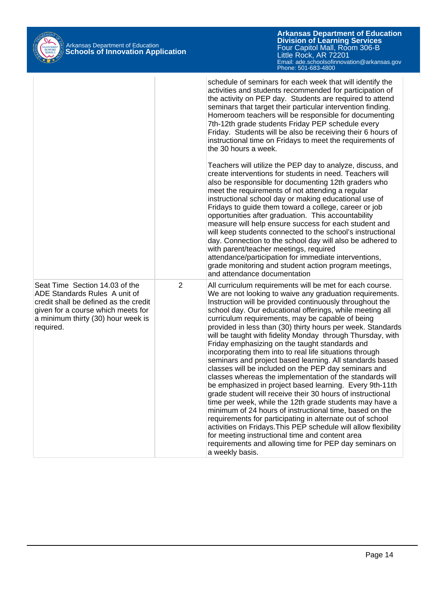

|                                                                                                                                                                                                   |                | schedule of seminars for each week that will identify the<br>activities and students recommended for participation of<br>the activity on PEP day. Students are required to attend<br>seminars that target their particular intervention finding.<br>Homeroom teachers will be responsible for documenting<br>7th-12th grade students Friday PEP schedule every<br>Friday. Students will be also be receiving their 6 hours of<br>instructional time on Fridays to meet the requirements of<br>the 30 hours a week.                                                                                                                                                                                                                                                                                                                                                                                                                                                                                                                                                                                                                                                                                                                        |
|---------------------------------------------------------------------------------------------------------------------------------------------------------------------------------------------------|----------------|-------------------------------------------------------------------------------------------------------------------------------------------------------------------------------------------------------------------------------------------------------------------------------------------------------------------------------------------------------------------------------------------------------------------------------------------------------------------------------------------------------------------------------------------------------------------------------------------------------------------------------------------------------------------------------------------------------------------------------------------------------------------------------------------------------------------------------------------------------------------------------------------------------------------------------------------------------------------------------------------------------------------------------------------------------------------------------------------------------------------------------------------------------------------------------------------------------------------------------------------|
|                                                                                                                                                                                                   |                | Teachers will utilize the PEP day to analyze, discuss, and<br>create interventions for students in need. Teachers will<br>also be responsible for documenting 12th graders who<br>meet the requirements of not attending a regular<br>instructional school day or making educational use of<br>Fridays to guide them toward a college, career or job<br>opportunities after graduation. This accountability<br>measure will help ensure success for each student and<br>will keep students connected to the school's instructional<br>day. Connection to the school day will also be adhered to<br>with parent/teacher meetings, required<br>attendance/participation for immediate interventions,<br>grade monitoring and student action program meetings,<br>and attendance documentation                                                                                                                                                                                                                                                                                                                                                                                                                                               |
| Seat Time Section 14.03 of the<br>ADE Standards Rules A unit of<br>credit shall be defined as the credit<br>given for a course which meets for<br>a minimum thirty (30) hour week is<br>required. | $\overline{2}$ | All curriculum requirements will be met for each course.<br>We are not looking to waive any graduation requirements.<br>Instruction will be provided continuously throughout the<br>school day. Our educational offerings, while meeting all<br>curriculum requirements, may be capable of being<br>provided in less than (30) thirty hours per week. Standards<br>will be taught with fidelity Monday through Thursday, with<br>Friday emphasizing on the taught standards and<br>incorporating them into to real life situations through<br>seminars and project based learning. All standards based<br>classes will be included on the PEP day seminars and<br>classes whereas the implementation of the standards will<br>be emphasized in project based learning. Every 9th-11th<br>grade student will receive their 30 hours of instructional<br>time per week, while the 12th grade students may have a<br>minimum of 24 hours of instructional time, based on the<br>requirements for participating in alternate out of school<br>activities on Fridays. This PEP schedule will allow flexibility<br>for meeting instructional time and content area<br>requirements and allowing time for PEP day seminars on<br>a weekly basis. |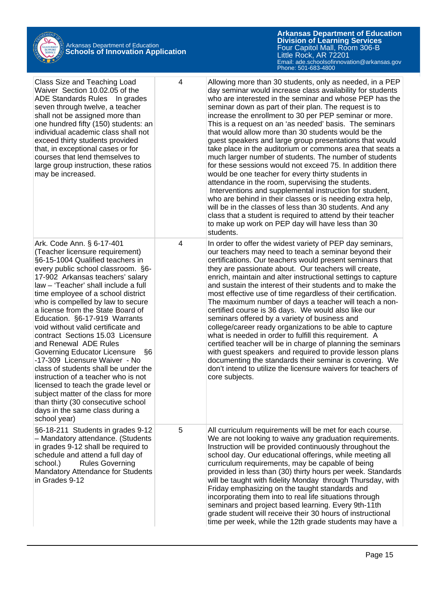

| Class Size and Teaching Load<br>Waiver Section 10.02.05 of the<br>ADE Standards Rules In grades<br>seven through twelve, a teacher<br>shall not be assigned more than<br>one hundred fifty (150) students: an<br>individual academic class shall not<br>exceed thirty students provided<br>that, in exceptional cases or for<br>courses that lend themselves to<br>large group instruction, these ratios<br>may be increased.                                                                                                                                                                                                                                                                                                                                                                          | 4 | Allowing more than 30 students, only as needed, in a PEP<br>day seminar would increase class availability for students<br>who are interested in the seminar and whose PEP has the<br>seminar down as part of their plan. The request is to<br>increase the enrollment to 30 per PEP seminar or more.<br>This is a request on an 'as needed' basis. The seminars<br>that would allow more than 30 students would be the<br>guest speakers and large group presentations that would<br>take place in the auditorium or commons area that seats a<br>much larger number of students. The number of students<br>for these sessions would not exceed 75. In addition there<br>would be one teacher for every thirty students in<br>attendance in the room, supervising the students.<br>Interventions and supplemental instruction for student,<br>who are behind in their classes or is needing extra help,<br>will be in the classes of less than 30 students. And any<br>class that a student is required to attend by their teacher<br>to make up work on PEP day will have less than 30<br>students. |
|--------------------------------------------------------------------------------------------------------------------------------------------------------------------------------------------------------------------------------------------------------------------------------------------------------------------------------------------------------------------------------------------------------------------------------------------------------------------------------------------------------------------------------------------------------------------------------------------------------------------------------------------------------------------------------------------------------------------------------------------------------------------------------------------------------|---|------------------------------------------------------------------------------------------------------------------------------------------------------------------------------------------------------------------------------------------------------------------------------------------------------------------------------------------------------------------------------------------------------------------------------------------------------------------------------------------------------------------------------------------------------------------------------------------------------------------------------------------------------------------------------------------------------------------------------------------------------------------------------------------------------------------------------------------------------------------------------------------------------------------------------------------------------------------------------------------------------------------------------------------------------------------------------------------------------|
| Ark. Code Ann. § 6-17-401<br>(Teacher licensure requirement)<br>§6-15-1004 Qualified teachers in<br>every public school classroom. §6-<br>17-902 Arkansas teachers' salary<br>law - 'Teacher' shall include a full<br>time employee of a school district<br>who is compelled by law to secure<br>a license from the State Board of<br>Education. §6-17-919 Warrants<br>void without valid certificate and<br>contract Sections 15.03 Licensure<br>and Renewal ADE Rules<br>Governing Educator Licensure<br>§6<br>-17-309 Licensure Waiver - No<br>class of students shall be under the<br>instruction of a teacher who is not<br>licensed to teach the grade level or<br>subject matter of the class for more<br>than thirty (30 consecutive school<br>days in the same class during a<br>school year) | 4 | In order to offer the widest variety of PEP day seminars,<br>our teachers may need to teach a seminar beyond their<br>certifications. Our teachers would present seminars that<br>they are passionate about. Our teachers will create,<br>enrich, maintain and alter instructional settings to capture<br>and sustain the interest of their students and to make the<br>most effective use of time regardless of their certification.<br>The maximum number of days a teacher will teach a non-<br>certified course is 36 days. We would also like our<br>seminars offered by a variety of business and<br>college/career ready organizations to be able to capture<br>what is needed in order to fulfill this requirement. A<br>certified teacher will be in charge of planning the seminars<br>with guest speakers and required to provide lesson plans<br>documenting the standards their seminar is covering. We<br>don't intend to utilize the licensure waivers for teachers of<br>core subjects.                                                                                              |
| §6-18-211 Students in grades 9-12<br>- Mandatory attendance. (Students<br>in grades 9-12 shall be required to<br>schedule and attend a full day of<br>school.)<br><b>Rules Governing</b><br>Mandatory Attendance for Students<br>in Grades 9-12                                                                                                                                                                                                                                                                                                                                                                                                                                                                                                                                                        | 5 | All curriculum requirements will be met for each course.<br>We are not looking to waive any graduation requirements.<br>Instruction will be provided continuously throughout the<br>school day. Our educational offerings, while meeting all<br>curriculum requirements, may be capable of being<br>provided in less than (30) thirty hours per week. Standards<br>will be taught with fidelity Monday through Thursday, with<br>Friday emphasizing on the taught standards and<br>incorporating them into to real life situations through<br>seminars and project based learning. Every 9th-11th<br>grade student will receive their 30 hours of instructional<br>time per week, while the 12th grade students may have a                                                                                                                                                                                                                                                                                                                                                                           |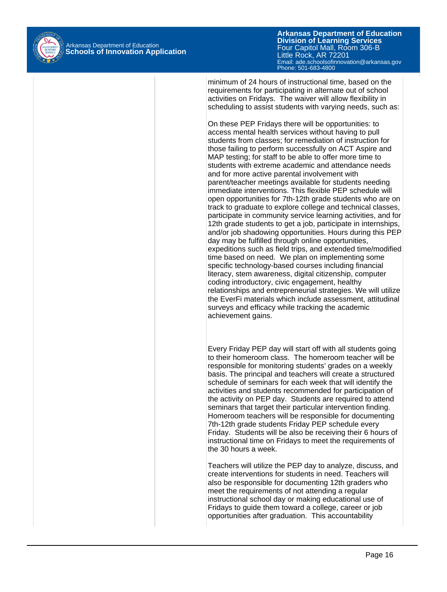

**Arkansas Department of Education** Email: ade.schoolsofinnovation@arkansas.gov Phone: 501-683-4800**Division of Learning Services** Four Capitol Mall, Room 306-B Little Rock, AR 72201

minimum of 24 hours of instructional time, based on the requirements for participating in alternate out of school activities on Fridays. The waiver will allow flexibility in scheduling to assist students with varying needs, such as:

On these PEP Fridays there will be opportunities: to access mental health services without having to pull students from classes; for remediation of instruction for those failing to perform successfully on ACT Aspire and MAP testing; for staff to be able to offer more time to students with extreme academic and attendance needs and for more active parental involvement with parent/teacher meetings available for students needing immediate interventions. This flexible PEP schedule will open opportunities for 7th-12th grade students who are on track to graduate to explore college and technical classes, participate in community service learning activities, and for 12th grade students to get a job, participate in internships, and/or job shadowing opportunities. Hours during this PEP day may be fulfilled through online opportunities, expeditions such as field trips, and extended time/modified time based on need. We plan on implementing some specific technology-based courses including financial literacy, stem awareness, digital citizenship, computer coding introductory, civic engagement, healthy relationships and entrepreneurial strategies. We will utilize the EverFi materials which include assessment, attitudinal surveys and efficacy while tracking the academic achievement gains.

Every Friday PEP day will start off with all students going to their homeroom class. The homeroom teacher will be responsible for monitoring students' grades on a weekly basis. The principal and teachers will create a structured schedule of seminars for each week that will identify the activities and students recommended for participation of the activity on PEP day. Students are required to attend seminars that target their particular intervention finding. Homeroom teachers will be responsible for documenting 7th-12th grade students Friday PEP schedule every Friday. Students will be also be receiving their 6 hours of instructional time on Fridays to meet the requirements of the 30 hours a week.

Teachers will utilize the PEP day to analyze, discuss, and create interventions for students in need. Teachers will also be responsible for documenting 12th graders who meet the requirements of not attending a regular instructional school day or making educational use of Fridays to guide them toward a college, career or job opportunities after graduation. This accountability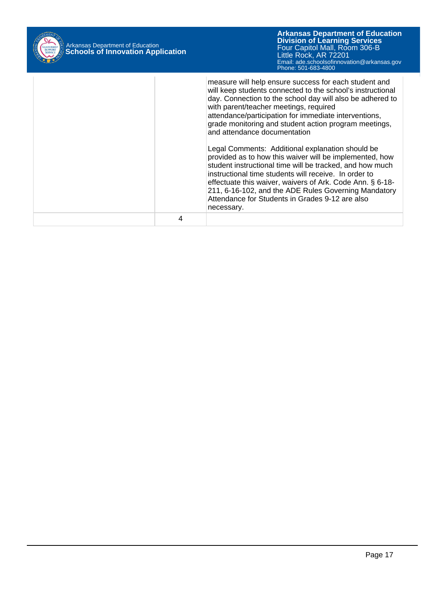| Arkansas Department of Education<br><b>Schools of Innovation Application</b> | <b>Arkansas Department of Education</b><br><b>Division of Learning Services</b><br>Four Capitol Mall, Room 306-B<br>Little Rock, AR 72201<br>Email: ade.schoolsofinnovation@arkansas.gov<br>Phone: 501-683-4800                                                                                                                                                                                                                                                                                                                                                                                                                                                                                                                                                                                        |
|------------------------------------------------------------------------------|--------------------------------------------------------------------------------------------------------------------------------------------------------------------------------------------------------------------------------------------------------------------------------------------------------------------------------------------------------------------------------------------------------------------------------------------------------------------------------------------------------------------------------------------------------------------------------------------------------------------------------------------------------------------------------------------------------------------------------------------------------------------------------------------------------|
|                                                                              | measure will help ensure success for each student and<br>will keep students connected to the school's instructional<br>day. Connection to the school day will also be adhered to<br>with parent/teacher meetings, required<br>attendance/participation for immediate interventions,<br>grade monitoring and student action program meetings,<br>and attendance documentation<br>Legal Comments: Additional explanation should be<br>provided as to how this waiver will be implemented, how<br>student instructional time will be tracked, and how much<br>instructional time students will receive. In order to<br>effectuate this waiver, waivers of Ark. Code Ann. § 6-18-<br>211, 6-16-102, and the ADE Rules Governing Mandatory<br>Attendance for Students in Grades 9-12 are also<br>necessary. |
| 4                                                                            |                                                                                                                                                                                                                                                                                                                                                                                                                                                                                                                                                                                                                                                                                                                                                                                                        |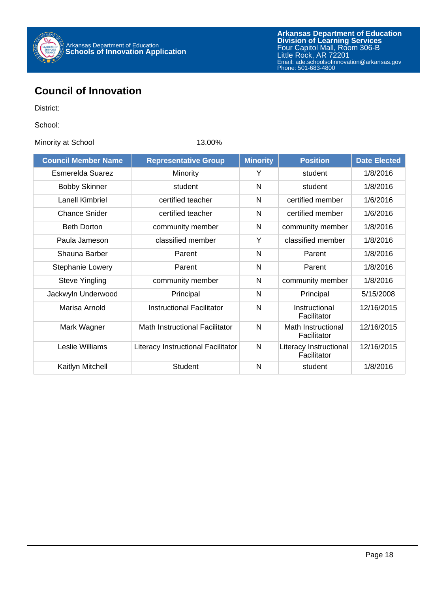

### **Council of Innovation**

District:

School:

Minority at School 13.00%

| <b>Council Member Name</b> | <b>Minority</b><br><b>Representative Group</b> |   | <b>Position</b>                       | <b>Date Elected</b> |
|----------------------------|------------------------------------------------|---|---------------------------------------|---------------------|
| Esmerelda Suarez           | Minority                                       | Y | student                               | 1/8/2016            |
| <b>Bobby Skinner</b>       | student                                        | N | student                               | 1/8/2016            |
| Lanell Kimbriel            | certified teacher                              | N | certified member                      | 1/6/2016            |
| <b>Chance Snider</b>       | certified teacher                              | N | certified member                      | 1/6/2016            |
| <b>Beth Dorton</b>         | community member                               | N | community member                      | 1/8/2016            |
| Paula Jameson              | classified member                              | Υ | classified member                     | 1/8/2016            |
| Shauna Barber              | Parent                                         | N | Parent                                | 1/8/2016            |
| <b>Stephanie Lowery</b>    | Parent                                         | N | Parent                                | 1/8/2016            |
| <b>Steve Yingling</b>      | community member                               | N | community member                      | 1/8/2016            |
| Jackwyln Underwood         | Principal                                      | N | Principal                             | 5/15/2008           |
| Marisa Arnold              | <b>Instructional Facilitator</b>               | N | Instructional<br>Facilitator          | 12/16/2015          |
| Mark Wagner                | Math Instructional Facilitator                 | N | Math Instructional<br>Facilitator     | 12/16/2015          |
| Leslie Williams            | Literacy Instructional Facilitator             | N | Literacy Instructional<br>Facilitator | 12/16/2015          |
| Kaitlyn Mitchell           | <b>Student</b>                                 | N | student                               | 1/8/2016            |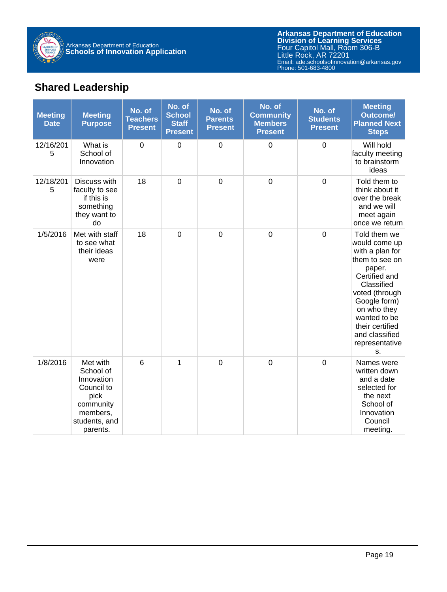

## **Shared Leadership**

| <b>Meeting</b><br><b>Date</b> | <b>Meeting</b><br><b>Purpose</b>                                                                                | No. of<br><b>Teachers</b><br><b>Present</b> | No. of<br><b>School</b><br><b>Staff</b><br><b>Present</b> | No. of<br><b>Parents</b><br><b>Present</b> | No. of<br><b>Community</b><br><b>Members</b><br><b>Present</b> | No. of<br><b>Students</b><br><b>Present</b> | <b>Meeting</b><br><b>Outcome/</b><br><b>Planned Next</b><br><b>Steps</b>                                                                                                                                                                  |
|-------------------------------|-----------------------------------------------------------------------------------------------------------------|---------------------------------------------|-----------------------------------------------------------|--------------------------------------------|----------------------------------------------------------------|---------------------------------------------|-------------------------------------------------------------------------------------------------------------------------------------------------------------------------------------------------------------------------------------------|
| 12/16/201<br>5                | What is<br>School of<br>Innovation                                                                              | $\mathbf 0$                                 | $\mathbf 0$                                               | $\mathbf 0$                                | $\mathbf 0$                                                    | $\mathbf 0$                                 | Will hold<br>faculty meeting<br>to brainstorm<br>ideas                                                                                                                                                                                    |
| 12/18/201<br>5                | Discuss with<br>faculty to see<br>if this is<br>something<br>they want to<br>do                                 | 18                                          | 0                                                         | $\overline{0}$                             | $\overline{0}$                                                 | $\mathbf 0$                                 | Told them to<br>think about it<br>over the break<br>and we will<br>meet again<br>once we return                                                                                                                                           |
| 1/5/2016                      | Met with staff<br>to see what<br>their ideas<br>were                                                            | 18                                          | $\overline{0}$                                            | $\mathbf 0$                                | $\mathbf 0$                                                    | $\overline{0}$                              | Told them we<br>would come up<br>with a plan for<br>them to see on<br>paper.<br>Certified and<br>Classified<br>voted (through<br>Google form)<br>on who they<br>wanted to be<br>their certified<br>and classified<br>representative<br>S. |
| 1/8/2016                      | Met with<br>School of<br>Innovation<br>Council to<br>pick<br>community<br>members,<br>students, and<br>parents. | 6                                           | $\overline{1}$                                            | $\mathbf 0$                                | $\mathbf 0$                                                    | $\mathbf 0$                                 | Names were<br>written down<br>and a date<br>selected for<br>the next<br>School of<br>Innovation<br>Council<br>meeting.                                                                                                                    |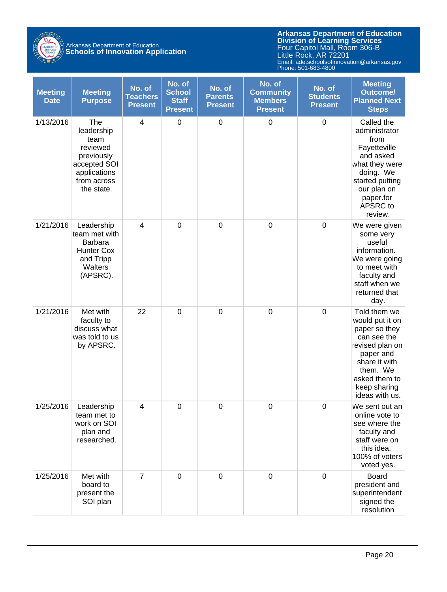

# Arkansas Department of Education **Schools of Innovation Application**

| <b>Meeting</b><br><b>Date</b> | <b>Meeting</b><br><b>Purpose</b>                                                                                 | No. of<br><b>Teachers</b><br><b>Present</b> | No. of<br><b>School</b><br><b>Staff</b><br><b>Present</b> | No. of<br><b>Parents</b><br><b>Present</b> | No. of<br><b>Community</b><br><b>Members</b><br><b>Present</b> | No. of<br><b>Students</b><br><b>Present</b> | <b>Meeting</b><br><b>Outcome/</b><br><b>Planned Next</b><br><b>Steps</b>                                                                                                        |
|-------------------------------|------------------------------------------------------------------------------------------------------------------|---------------------------------------------|-----------------------------------------------------------|--------------------------------------------|----------------------------------------------------------------|---------------------------------------------|---------------------------------------------------------------------------------------------------------------------------------------------------------------------------------|
| 1/13/2016                     | The<br>leadership<br>team<br>reviewed<br>previously<br>accepted SOI<br>applications<br>from across<br>the state. | 4                                           | $\mathbf 0$                                               | $\boldsymbol{0}$                           | $\pmb{0}$                                                      | $\pmb{0}$                                   | Called the<br>administrator<br>from<br>Fayetteville<br>and asked<br>what they were<br>doing. We<br>started putting<br>our plan on<br>paper.for<br>APSRC to<br>review.           |
| 1/21/2016                     | Leadership<br>team met with<br>Barbara<br>Hunter Cox<br>and Tripp<br>Walters<br>(APSRC).                         | $\overline{\mathbf{4}}$                     | $\overline{0}$                                            | $\mathbf 0$                                | $\mathbf 0$                                                    | $\mathbf 0$                                 | We were given<br>some very<br>useful<br>information.<br>We were going<br>to meet with<br>faculty and<br>staff when we<br>returned that<br>day.                                  |
| 1/21/2016                     | Met with<br>faculty to<br>discuss what<br>was told to us<br>by APSRC.                                            | 22                                          | $\mathbf 0$                                               | $\mathbf 0$                                | $\pmb{0}$                                                      | $\mathbf 0$                                 | Told them we<br>would put it on<br>paper so they<br>can see the<br>revised plan on<br>paper and<br>share it with<br>them. We<br>asked them to<br>keep sharing<br>ideas with us. |
| 1/25/2016                     | Leadership<br>team met to<br>work on SOI<br>plan and<br>researched.                                              | 4                                           | $\mathbf 0$                                               | $\mathbf 0$                                | $\mathbf 0$                                                    | $\pmb{0}$                                   | We sent out an<br>online vote to<br>see where the<br>faculty and<br>staff were on<br>this idea.<br>100% of voters<br>voted yes.                                                 |
| 1/25/2016                     | Met with<br>board to<br>present the<br>SOI plan                                                                  | $\overline{7}$                              | $\mathbf 0$                                               | $\mathbf 0$                                | $\mathbf 0$                                                    | $\mathbf 0$                                 | <b>Board</b><br>president and<br>superintendent<br>signed the<br>resolution                                                                                                     |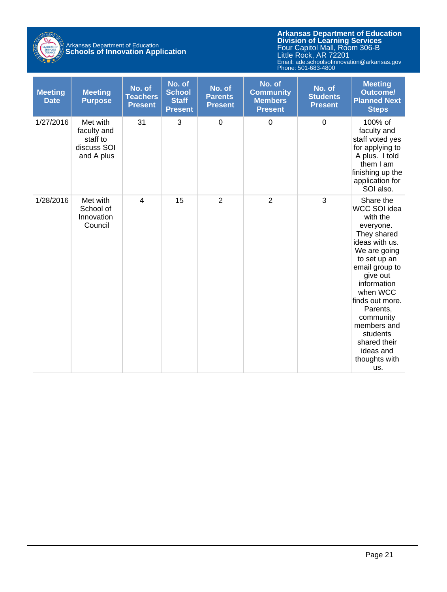

## Arkansas Department of Education **Schools of Innovation Application**

| <b>Meeting</b><br><b>Date</b> | <b>Meeting</b><br><b>Purpose</b>                                 | No. of<br><b>Teachers</b><br><b>Present</b> | No. of<br><b>School</b><br><b>Staff</b><br><b>Present</b> | No. of<br><b>Parents</b><br><b>Present</b> | No. of<br><b>Community</b><br><b>Members</b><br><b>Present</b> | No. of<br><b>Students</b><br><b>Present</b> | <b>Meeting</b><br><b>Outcome/</b><br><b>Planned Next</b><br><b>Steps</b>                                                                                                                                                                                                                                 |
|-------------------------------|------------------------------------------------------------------|---------------------------------------------|-----------------------------------------------------------|--------------------------------------------|----------------------------------------------------------------|---------------------------------------------|----------------------------------------------------------------------------------------------------------------------------------------------------------------------------------------------------------------------------------------------------------------------------------------------------------|
| 1/27/2016                     | Met with<br>faculty and<br>staff to<br>discuss SOI<br>and A plus | 31                                          | 3                                                         | $\mathbf 0$                                | $\mathbf 0$                                                    | $\mathbf 0$                                 | 100% of<br>faculty and<br>staff voted yes<br>for applying to<br>A plus. I told<br>them I am<br>finishing up the<br>application for<br>SOI also.                                                                                                                                                          |
| 1/28/2016                     | Met with<br>School of<br>Innovation<br>Council                   | $\overline{4}$                              | 15                                                        | $\overline{2}$                             | $\overline{2}$                                                 | 3                                           | Share the<br>WCC SOI idea<br>with the<br>everyone.<br>They shared<br>ideas with us.<br>We are going<br>to set up an<br>email group to<br>give out<br>information<br>when WCC<br>finds out more.<br>Parents,<br>community<br>members and<br>students<br>shared their<br>ideas and<br>thoughts with<br>us. |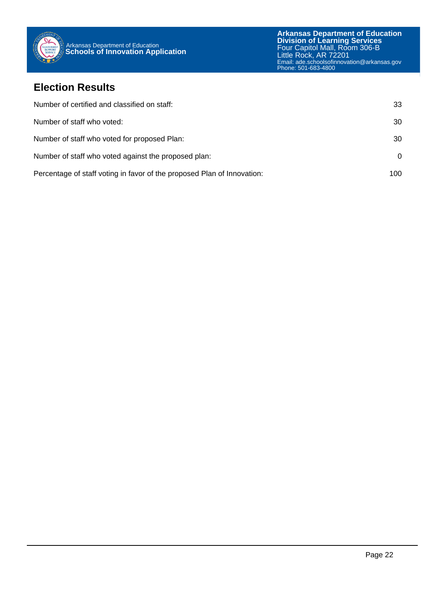

#### **Election Results**

| Number of certified and classified on staff:                            | 33  |
|-------------------------------------------------------------------------|-----|
| Number of staff who voted:                                              | 30  |
| Number of staff who voted for proposed Plan:                            | 30  |
| Number of staff who voted against the proposed plan:                    | 0   |
| Percentage of staff voting in favor of the proposed Plan of Innovation: | 100 |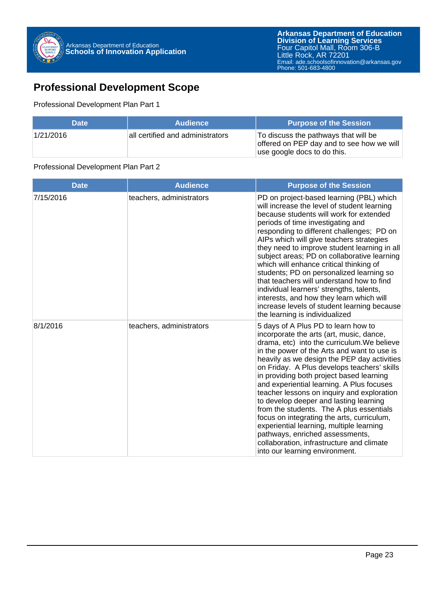

## **Professional Development Scope**

#### Professional Development Plan Part 1

| <b>Date</b> | <b>Audience</b>                  | <b>Purpose of the Session</b>                                                                                    |
|-------------|----------------------------------|------------------------------------------------------------------------------------------------------------------|
| 1/21/2016   | all certified and administrators | To discuss the pathways that will be<br>offered on PEP day and to see how we will<br>use google docs to do this. |

#### Professional Development Plan Part 2

| <b>Date</b> | <b>Audience</b>          | <b>Purpose of the Session</b>                                                                                                                                                                                                                                                                                                                                                                                                                                                                                                                                                                                                                                                                                        |
|-------------|--------------------------|----------------------------------------------------------------------------------------------------------------------------------------------------------------------------------------------------------------------------------------------------------------------------------------------------------------------------------------------------------------------------------------------------------------------------------------------------------------------------------------------------------------------------------------------------------------------------------------------------------------------------------------------------------------------------------------------------------------------|
| 7/15/2016   | teachers, administrators | PD on project-based learning (PBL) which<br>will increase the level of student learning<br>because students will work for extended<br>periods of time investigating and<br>responding to different challenges; PD on<br>AIPs which will give teachers strategies<br>they need to improve student learning in all<br>subject areas; PD on collaborative learning<br>which will enhance critical thinking of<br>students; PD on personalized learning so<br>that teachers will understand how to find<br>individual learners' strengths, talents,<br>interests, and how they learn which will<br>increase levels of student learning because<br>the learning is individualized                                         |
| 8/1/2016    | teachers, administrators | 5 days of A Plus PD to learn how to<br>incorporate the arts (art, music, dance,<br>drama, etc) into the curriculum. We believe<br>in the power of the Arts and want to use is<br>heavily as we design the PEP day activities<br>on Friday. A Plus develops teachers' skills<br>in providing both project based learning<br>and experiential learning. A Plus focuses<br>teacher lessons on inquiry and exploration<br>to develop deeper and lasting learning<br>from the students. The A plus essentials<br>focus on integrating the arts, curriculum,<br>experiential learning, multiple learning<br>pathways, enriched assessments,<br>collaboration, infrastructure and climate<br>into our learning environment. |